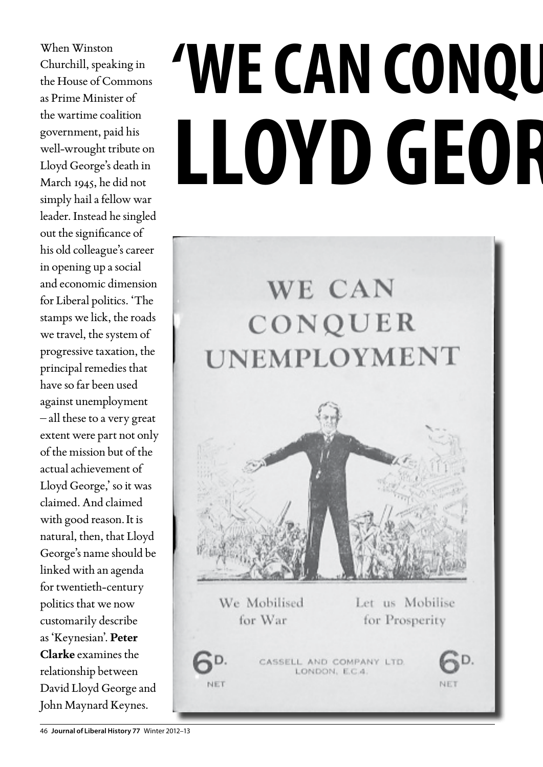When Winston Churchill, speaking in the House of Commons as Prime Minister of the wartime coalition government, paid his well-wrought tribute on Lloyd George's death in March 1945, he did not simply hail a fellow war leader. Instead he singled out the significance of his old colleague's career in opening up a social and economic dimension for Liberal politics. 'The stamps we lick, the roads we travel, the system of progressive taxation, the principal remedies that have so far been used against unemployment – all these to a very great extent were part not only of the mission but of the actual achievement of Lloyd George,' so it was claimed. And claimed with good reason.It is natural, then, that Lloyd George's name should be linked with an agenda for twentieth-century politics that we now customarily describe as 'Keynesian'. **Peter Clarke** examines the relationship between David Lloyd George and John Maynard Keynes.

# **'WE CAN CONQU LLOYD GEOR**

### WE CAN CONQUER UNEMPLOYMENT



We Mobilised for War

D.

NET

Let us Mobilise for Prosperity

CASSELL AND COMPANY LTD. LONDON, E.C.4.

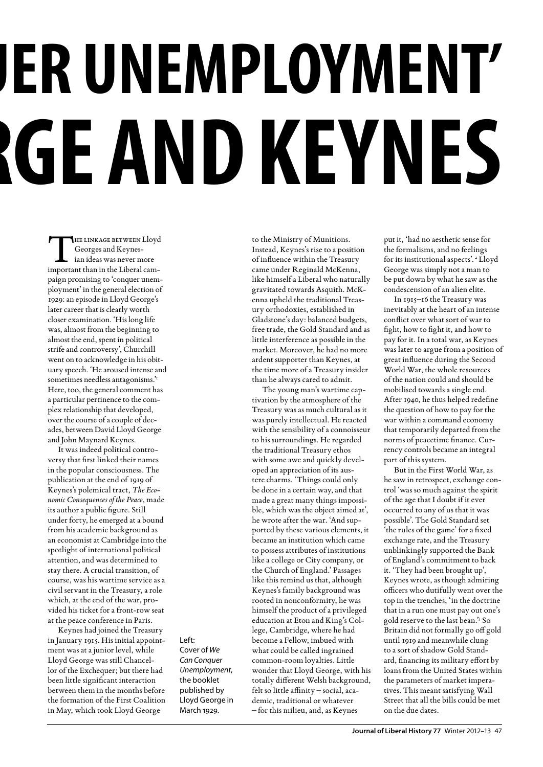## **'ER UNEMPLOYMENT' LGE AND KEYNES**

HE LINKAGE BETWEEN Lloyd Georges and Keynesian ideas was never more important than in the Liberal campaign promising to 'conquer unemployment' in the general election of 1929: an episode in Lloyd George's later career that is clearly worth closer examination. 'His long life was, almost from the beginning to almost the end, spent in political strife and controversy', Churchill went on to acknowledge in his obituary speech. 'He aroused intense and sometimes needless antagonisms." Here, too, the general comment has a particular pertinence to the complex relationship that developed, over the course of a couple of decades, between David Lloyd George and John Maynard Keynes.

It was indeed political controversy that first linked their names in the popular consciousness. The publication at the end of 1919 of Keynes's polemical tract, *The Economic Consequences of the Peace*, made its author a public figure. Still under forty, he emerged at a bound from his academic background as an economist at Cambridge into the spotlight of international political attention, and was determined to stay there. A crucial transition, of course, was his wartime service as a civil servant in the Treasury, a role which, at the end of the war, provided his ticket for a front-row seat at the peace conference in Paris.

Keynes had joined the Treasury in January 1915. His initial appointment was at a junior level, while Lloyd George was still Chancellor of the Exchequer; but there had been little significant interaction between them in the months before the formation of the First Coalition in May, which took Lloyd George

Left: Cover of *We Can Conquer Unemployment*, the booklet published by Lloyd George in March 1929.

to the Ministry of Munitions. Instead, Keynes's rise to a position of influence within the Treasury came under Reginald McKenna, like himself a Liberal who naturally gravitated towards Asquith. McKenna upheld the traditional Treasury orthodoxies, established in Gladstone's day: balanced budgets, free trade, the Gold Standard and as little interference as possible in the market. Moreover, he had no more ardent supporter than Keynes, at the time more of a Treasury insider than he always cared to admit.

The young man's wartime captivation by the atmosphere of the Treasury was as much cultural as it was purely intellectual. He reacted with the sensibility of a connoisseur to his surroundings. He regarded the traditional Treasury ethos with some awe and quickly developed an appreciation of its austere charms. 'Things could only be done in a certain way, and that made a great many things impossible, which was the object aimed at', he wrote after the war. 'And supported by these various elements, it became an institution which came to possess attributes of institutions like a college or City company, or the Church of England.' Passages like this remind us that, although Keynes's family background was rooted in nonconformity, he was himself the product of a privileged education at Eton and King's College, Cambridge, where he had become a Fellow, imbued with what could be called ingrained common-room loyalties. Little wonder that Lloyd George, with his totally different Welsh background, felt so little affinity – social, academic, traditional or whatever – for this milieu, and, as Keynes

put it, 'had no aesthetic sense for the formalisms, and no feelings for its institutional aspects'. 2 Lloyd George was simply not a man to be put down by what he saw as the condescension of an alien elite.

In 1915–16 the Treasury was inevitably at the heart of an intense conflict over what sort of war to fight, how to fight it, and how to pay for it. In a total war, as Keynes was later to argue from a position of great influence during the Second World War, the whole resources of the nation could and should be mobilised towards a single end. After 1940, he thus helped redefine the question of how to pay for the war within a command economy that temporarily departed from the norms of peacetime finance. Currency controls became an integral part of this system.

But in the First World War, as he saw in retrospect, exchange control 'was so much against the spirit of the age that I doubt if it ever occurred to any of us that it was possible'. The Gold Standard set 'the rules of the game' for a fixed exchange rate, and the Treasury unblinkingly supported the Bank of England's commitment to back it. 'They had been brought up', Keynes wrote, as though admiring officers who dutifully went over the top in the trenches, 'in the doctrine that in a run one must pay out one's gold reserve to the last bean.'3 So Britain did not formally go off gold until 1919 and meanwhile clung to a sort of shadow Gold Standard, financing its military effort by loans from the United States within the parameters of market imperatives. This meant satisfying Wall Street that all the bills could be met on the due dates.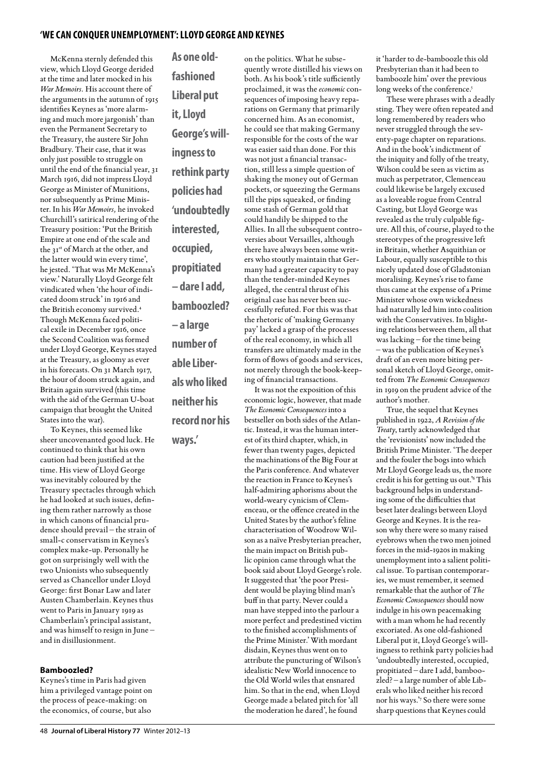McKenna sternly defended this view, which Lloyd George derided at the time and later mocked in his *War Memoirs.* His account there of the arguments in the autumn of 1915 identifies Keynes as 'more alarming and much more jargonish' than even the Permanent Secretary to the Treasury, the austere Sir John Bradbury. Their case, that it was only just possible to struggle on until the end of the financial year, 31 March 1916, did not impress Lloyd George as Minister of Munitions, nor subsequently as Prime Minister. In his *War Memoirs,* he invoked Churchill's satirical rendering of the Treasury position: 'Put the British Empire at one end of the scale and the 31st of March at the other, and the latter would win every time', he jested. 'That was Mr McKenna's view.' Naturally Lloyd George felt vindicated when 'the hour of indicated doom struck' in 1916 and the British economy survived.4 Though McKenna faced political exile in December 1916, once the Second Coalition was formed under Lloyd George, Keynes stayed at the Treasury, as gloomy as ever in his forecasts. On 31 March 1917, the hour of doom struck again, and Britain again survived (this time with the aid of the German U-boat campaign that brought the United States into the war).

To Keynes, this seemed like sheer uncovenanted good luck. He continued to think that his own caution had been justified at the time. His view of Lloyd George was inevitably coloured by the Treasury spectacles through which he had looked at such issues, defining them rather narrowly as those in which canons of financial prudence should prevail – the strain of small-c conservatism in Keynes's complex make-up. Personally he got on surprisingly well with the two Unionists who subsequently served as Chancellor under Lloyd George: first Bonar Law and later Austen Chamberlain. Keynes thus went to Paris in January 1919 as Chamberlain's principal assistant, and was himself to resign in June – and in disillusionment.

#### **Bamboozled?**

Keynes's time in Paris had given him a privileged vantage point on the process of peace-making: on the economics, of course, but also

**As one oldfashioned Liberal put it, Lloyd George's willingness to rethink party policies had 'undoubtedly interested, occupied, propitiated – dare I add, bamboozled? – a large number of able Liberals who liked neither his record nor his** 

**ways.'**

on the politics. What he subsequently wrote distilled his views on both. As his book's title sufficiently proclaimed, it was the *economic* consequences of imposing heavy reparations on Germany that primarily concerned him. As an economist, he could see that making Germany responsible for the costs of the war was easier said than done. For this was not just a financial transaction, still less a simple question of shaking the money out of German pockets, or squeezing the Germans till the pips squeaked, or finding some stash of German gold that could handily be shipped to the Allies. In all the subsequent controversies about Versailles, although there have always been some writers who stoutly maintain that Germany had a greater capacity to pay than the tender-minded Keynes alleged, the central thrust of his original case has never been successfully refuted. For this was that the rhetoric of 'making Germany pay' lacked a grasp of the processes of the real economy, in which all transfers are ultimately made in the form of flows of goods and services, not merely through the book-keeping of financial transactions. It was not the exposition of this economic logic, however, that made *The Economic Consequences* into a

bestseller on both sides of the Atlantic. Instead, it was the human interest of its third chapter, which, in fewer than twenty pages, depicted the machinations of the Big Four at the Paris conference. And whatever the reaction in France to Keynes's half-admiring aphorisms about the world-weary cynicism of Clemenceau, or the offence created in the United States by the author's feline characterisation of Woodrow Wilson as a naïve Presbyterian preacher, the main impact on British public opinion came through what the book said about Lloyd George's role. It suggested that 'the poor President would be playing blind man's buff in that party. Never could a man have stepped into the parlour a more perfect and predestined victim to the finished accomplishments of the Prime Minister.'With mordant disdain, Keynes thus went on to attribute the puncturing of Wilson's idealistic New World innocence to the Old World wiles that ensnared him. So that in the end, when Lloyd George made a belated pitch for 'all the moderation he dared', he found

it 'harder to de-bamboozle this old Presbyterian than it had been to bamboozle him' over the previous long weeks of the conference.<sup>5</sup>

These were phrases with a deadly sting. They were often repeated and long remembered by readers who never struggled through the seventy-page chapter on reparations. And in the book's indictment of the iniquity and folly of the treaty, Wilson could be seen as victim as much as perpetrator, Clemenceau could likewise be largely excused as a loveable rogue from Central Casting, but Lloyd George was revealed as the truly culpable figure. All this, of course, played to the stereotypes of the progressive left in Britain, whether Asquithian or Labour, equally susceptible to this nicely updated dose of Gladstonian moralising. Keynes's rise to fame thus came at the expense of a Prime Minister whose own wickedness had naturally led him into coalition with the Conservatives. In blighting relations between them, all that was lacking – for the time being – was the publication of Keynes's draft of an even more biting personal sketch of Lloyd George, omitted from *The Economic Consequences*  in 1919 on the prudent advice of the author's mother.

True, the sequel that Keynes published in 1922, *A Revision of the Treaty*, tartly acknowledged that the 'revisionists' now included the British Prime Minister. 'The deeper and the fouler the bogs into which Mr Lloyd George leads us, the more credit is his for getting us out.<sup>36</sup> This background helps in understanding some of the difficulties that beset later dealings between Lloyd George and Keynes. It is the reason why there were so many raised eyebrows when the two men joined forces in the mid-1920s in making unemployment into a salient political issue. To partisan contemporaries, we must remember, it seemed remarkable that the author of *The Economic Consequences* should now indulge in his own peacemaking with a man whom he had recently excoriated. As one old-fashioned Liberal put it, Lloyd George's willingness to rethink party policies had 'undoubtedly interested, occupied, propitiated – dare I add, bamboozled? – a large number of able Liberals who liked neither his record nor his ways.'7 So there were some sharp questions that Keynes could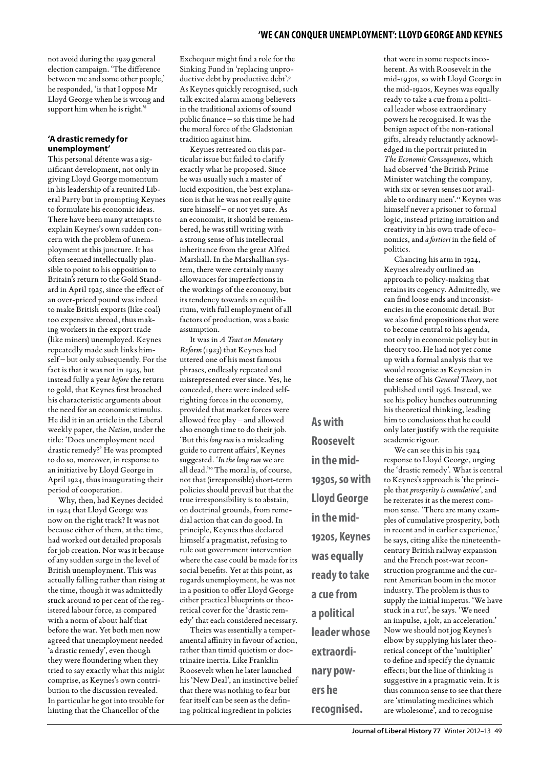not avoid during the 1929 general election campaign. 'The difference between me and some other people,' he responded, 'is that I oppose Mr Lloyd George when he is wrong and support him when he is right.'8

#### **'A drastic remedy for unemployment'**

This personal détente was a significant development, not only in giving Lloyd George momentum in his leadership of a reunited Liberal Party but in prompting Keynes to formulate his economic ideas. There have been many attempts to explain Keynes's own sudden concern with the problem of unemployment at this juncture. It has often seemed intellectually plausible to point to his opposition to Britain's return to the Gold Standard in April 1925, since the effect of an over-priced pound was indeed to make British exports (like coal) too expensive abroad, thus making workers in the export trade (like miners) unemployed. Keynes repeatedly made such links himself – but only subsequently. For the fact is that it was not in 1925, but instead fully a year *before* the return to gold, that Keynes first broached his characteristic arguments about the need for an economic stimulus. He did it in an article in the Liberal weekly paper, the *Nation*, under the title: 'Does unemployment need drastic remedy?' He was prompted to do so, moreover, in response to an initiative by Lloyd George in April 1924, thus inaugurating their period of cooperation.

Why, then, had Keynes decided in 1924 that Lloyd George was now on the right track? It was not because either of them, at the time, had worked out detailed proposals for job creation. Nor was it because of any sudden surge in the level of British unemployment. This was actually falling rather than rising at the time, though it was admittedly stuck around 10 per cent of the registered labour force, as compared with a norm of about half that before the war. Yet both men now agreed that unemployment needed 'a drastic remedy', even though they were floundering when they tried to say exactly what this might comprise, as Keynes's own contribution to the discussion revealed. In particular he got into trouble for hinting that the Chancellor of the

Exchequer might find a role for the Sinking Fund in 'replacing unproductive debt by productive debt'.9 As Keynes quickly recognised, such talk excited alarm among believers in the traditional axioms of sound public finance – so this time he had the moral force of the Gladstonian tradition against him.

Keynes retreated on this particular issue but failed to clarify exactly what he proposed. Since he was usually such a master of lucid exposition, the best explanation is that he was not really quite sure himself – or not yet sure. As an economist, it should be remembered, he was still writing with a strong sense of his intellectual inheritance from the great Alfred Marshall. In the Marshallian system, there were certainly many allowances for imperfections in the workings of the economy, but its tendency towards an equilibrium, with full employment of all factors of production, was a basic assumption.

It was in *A Tract on Monetary Reform* (1923) that Keynes had uttered one of his most famous phrases, endlessly repeated and misrepresented ever since. Yes, he conceded, there were indeed selfrighting forces in the economy, provided that market forces were allowed free play – and allowed also enough time to do their job. 'But this *long run* is a misleading guide to current affairs', Keynes suggested. '*In the long run* we are all dead.'10 The moral is, of course, not that (irresponsible) short-term policies should prevail but that the true irresponsibility is to abstain, on doctrinal grounds, from remedial action that can do good. In principle, Keynes thus declared himself a pragmatist, refusing to rule out government intervention where the case could be made for its social benefits. Yet at this point, as regards unemployment, he was not in a position to offer Lloyd George either practical blueprints or theoretical cover for the 'drastic remedy' that each considered necessary.

Theirs was essentially a temperamental affinity in favour of action, rather than timid quietism or doctrinaire inertia. Like Franklin Roosevelt when he later launched his 'New Deal', an instinctive belief that there was nothing to fear but fear itself can be seen as the defining political ingredient in policies

**As with Roosevelt in the mid-1930s, so with Lloyd George in the mid-1920s, Keynes was equally ready to take a cue from a political leader whose extraordinary powers he recognised.**

that were in some respects incoherent. As with Roosevelt in the mid-1930s, so with Lloyd George in the mid-1920s, Keynes was equally ready to take a cue from a political leader whose extraordinary powers he recognised. It was the benign aspect of the non-rational gifts, already reluctantly acknowledged in the portrait printed in *The Economic Consequences*, which had observed 'the British Prime Minister watching the company, with six or seven senses not available to ordinary men'.<sup>11</sup> Keynes was himself never a prisoner to formal logic, instead prizing intuition and creativity in his own trade of economics, and *a fortiori* in the field of politics.

Chancing his arm in 1924, Keynes already outlined an approach to policy-making that retains its cogency. Admittedly, we can find loose ends and inconsistencies in the economic detail. But we also find propositions that were to become central to his agenda, not only in economic policy but in theory too. He had not yet come up with a formal analysis that we would recognise as Keynesian in the sense of his *General Theory*, not published until 1936. Instead, we see his policy hunches outrunning his theoretical thinking, leading him to conclusions that he could only later justify with the requisite academic rigour.

We can see this in his 1924 response to Lloyd George, urging the 'drastic remedy'. What is central to Keynes's approach is 'the principle that *prosperity is cumulative'*, and he reiterates it as the merest common sense. 'There are many examples of cumulative prosperity, both in recent and in earlier experience,' he says, citing alike the nineteenthcentury British railway expansion and the French post-war reconstruction programme and the current American boom in the motor industry. The problem is thus to supply the initial impetus. 'We have stuck in a rut', he says. 'We need an impulse, a jolt, an acceleration.' Now we should not jog Keynes's elbow by supplying his later theoretical concept of the 'multiplier' to define and specify the dynamic effects; but the line of thinking is suggestive in a pragmatic vein. It is thus common sense to see that there are 'stimulating medicines which are wholesome', and to recognise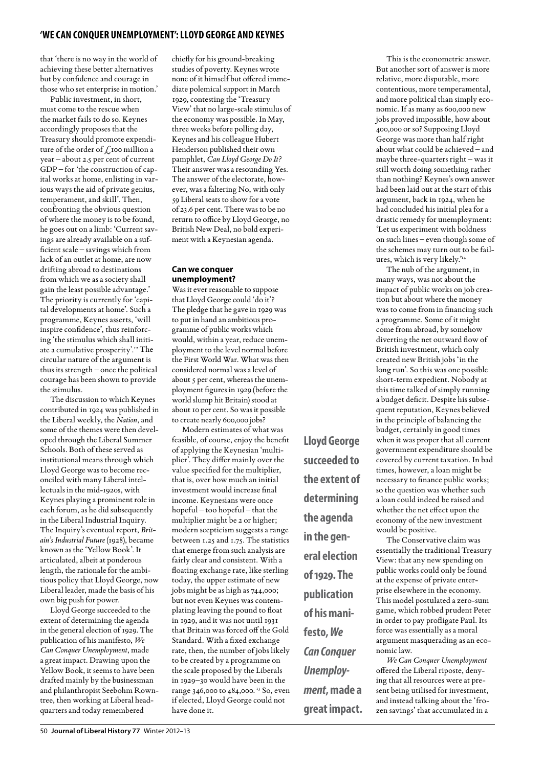that 'there is no way in the world of achieving these better alternatives but by confidence and courage in those who set enterprise in motion.'

Public investment, in short, must come to the rescue when the market fails to do so. Keynes accordingly proposes that the Treasury should promote expenditure of the order of £100 million a year – about 2.5 per cent of current GDP – for 'the construction of capital works at home, enlisting in various ways the aid of private genius, temperament, and skill'. Then, confronting the obvious question of where the money is to be found, he goes out on a limb: 'Current savings are already available on a sufficient scale – savings which from lack of an outlet at home, are now drifting abroad to destinations from which we as a society shall gain the least possible advantage.' The priority is currently for 'capital developments at home'. Such a programme, Keynes asserts, 'will inspire confidence', thus reinforcing 'the stimulus which shall initiate a cumulative prosperity'.12 The circular nature of the argument is thus its strength – once the political courage has been shown to provide the stimulus.

The discussion to which Keynes contributed in 1924 was published in the Liberal weekly, the *Nation*, and some of the themes were then developed through the Liberal Summer Schools. Both of these served as institutional means through which Lloyd George was to become reconciled with many Liberal intellectuals in the mid-1920s, with Keynes playing a prominent role in each forum, as he did subsequently in the Liberal Industrial Inquiry. The Inquiry's eventual report, *Britain's Industrial Future* (1928), became known as the 'Yellow Book'. It articulated, albeit at ponderous length, the rationale for the ambitious policy that Lloyd George, now Liberal leader, made the basis of his own big push for power.

Lloyd George succeeded to the extent of determining the agenda in the general election of 1929. The publication of his manifesto, *We Can Conquer Unemployment*, made a great impact. Drawing upon the Yellow Book, it seems to have been drafted mainly by the businessman and philanthropist Seebohm Rowntree, then working at Liberal headquarters and today remembered

chiefly for his ground-breaking studies of poverty. Keynes wrote none of it himself but offered immediate polemical support in March 1929, contesting the 'Treasury View' that no large-scale stimulus of the economy was possible. In May, three weeks before polling day, Keynes and his colleague Hubert Henderson published their own pamphlet, *Can Lloyd George Do It?* Their answer was a resounding Yes. The answer of the electorate, however, was a faltering No, with only 59 Liberal seats to show for a vote of 23.6 per cent. There was to be no return to office by Lloyd George, no British New Deal, no bold experiment with a Keynesian agenda.

#### **Can we conquer unemployment?**

Was it ever reasonable to suppose that Lloyd George could 'do it'? The pledge that he gave in 1929 was to put in hand an ambitious programme of public works which would, within a year, reduce unemployment to the level normal before the First World War. What was then considered normal was a level of about 5 per cent, whereas the unemployment figures in 1929 (before the world slump hit Britain) stood at about 10 per cent. So was it possible to create nearly 600,000 jobs?

Modern estimates of what was feasible, of course, enjoy the benefit of applying the Keynesian 'multiplier'. They differ mainly over the value specified for the multiplier, that is, over how much an initial investment would increase final income. Keynesians were once hopeful – too hopeful – that the multiplier might be 2 or higher; modern scepticism suggests a range between 1.25 and 1.75. The statistics that emerge from such analysis are fairly clear and consistent. With a floating exchange rate, like sterling today, the upper estimate of new jobs might be as high as 744,000; but not even Keynes was contemplating leaving the pound to float in 1929, and it was not until 1931 that Britain was forced off the Gold Standard. With a fixed exchange rate, then, the number of jobs likely to be created by a programme on the scale proposed by the Liberals in 1929–30 would have been in the range 346,000 to 484,000.<sup>13</sup> So, even if elected, Lloyd George could not have done it.

**Lloyd George succeeded to the extent of determining the agenda in the general election of 1929. The publication of his manifesto,** *We Can Conquer Unemployment***, made a great impact.** 

This is the econometric answer. But another sort of answer is more relative, more disputable, more contentious, more temperamental, and more political than simply economic. If as many as 600,000 new jobs proved impossible, how about 400,000 or so? Supposing Lloyd George was more than half right about what could be achieved – and maybe three-quarters right – was it still worth doing something rather than nothing? Keynes's own answer had been laid out at the start of this argument, back in 1924, when he had concluded his initial plea for a drastic remedy for unemployment: 'Let us experiment with boldness on such lines – even though some of the schemes may turn out to be failures, which is very likely.'14

The nub of the argument, in many ways, was not about the impact of public works on job creation but about where the money was to come from in financing such a programme. Some of it might come from abroad, by somehow diverting the net outward flow of British investment, which only created new British jobs 'in the long run'. So this was one possible short-term expedient. Nobody at this time talked of simply running a budget deficit. Despite his subsequent reputation, Keynes believed in the principle of balancing the budget, certainly in good times when it was proper that all current government expenditure should be covered by current taxation. In bad times, however, a loan might be necessary to finance public works; so the question was whether such a loan could indeed be raised and whether the net effect upon the economy of the new investment would be positive.

The Conservative claim was essentially the traditional Treasury View: that any new spending on public works could only be found at the expense of private enterprise elsewhere in the economy. This model postulated a zero-sum game, which robbed prudent Peter in order to pay profligate Paul. Its force was essentially as a moral argument masquerading as an economic law.

*We Can Conquer Unemployment* offered the Liberal riposte, denying that all resources were at present being utilised for investment, and instead talking about the 'frozen savings' that accumulated in a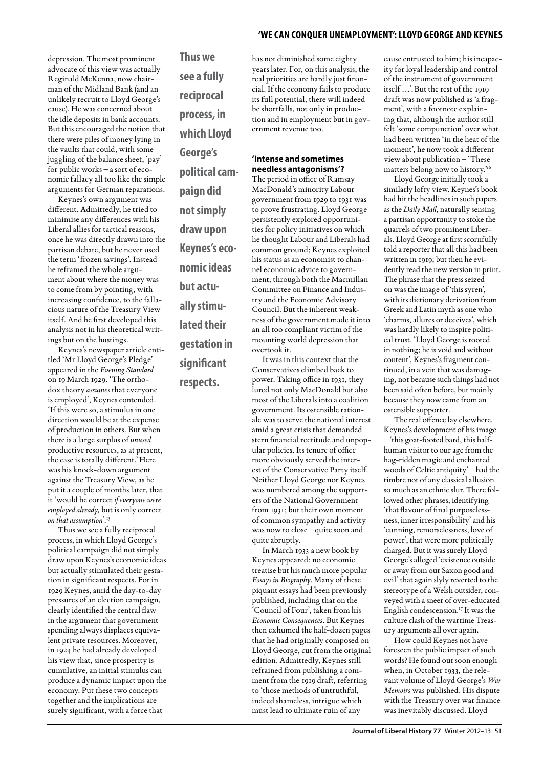depression. The most prominent advocate of this view was actually Reginald McKenna, now chairman of the Midland Bank (and an unlikely recruit to Lloyd George's cause). He was concerned about the idle deposits in bank accounts. But this encouraged the notion that there were piles of money lying in the vaults that could, with some juggling of the balance sheet, 'pay' for public works – a sort of economic fallacy all too like the simple arguments for German reparations.

Keynes's own argument was different. Admittedly, he tried to minimise any differences with his Liberal allies for tactical reasons, once he was directly drawn into the partisan debate, but he never used the term 'frozen savings'. Instead he reframed the whole argument about where the money was to come from by pointing, with increasing confidence, to the fallacious nature of the Treasury View itself. And he first developed this analysis not in his theoretical writings but on the hustings.

Keynes's newspaper article entitled 'Mr Lloyd George's Pledge' appeared in the *Evening Standard* on 19 March 1929. 'The orthodox theory *assumes* that everyone is employed', Keynes contended. 'If this were so, a stimulus in one direction would be at the expense of production in others. But when there is a large surplus of *unused* productive resources, as at present, the case is totally different.'Here was his knock-down argument against the Treasury View, as he put it a couple of months later, that it 'would be correct *if everyone were employed already,* but is only correct *on that assumption*'.15

Thus we see a fully reciprocal process, in which Lloyd George's political campaign did not simply draw upon Keynes's economic ideas but actually stimulated their gestation in significant respects. For in 1929 Keynes, amid the day-to-day pressures of an election campaign, clearly identified the central flaw in the argument that government spending always displaces equivalent private resources. Moreover, in 1924 he had already developed his view that, since prosperity is cumulative, an initial stimulus can produce a dynamic impact upon the economy. Put these two concepts together and the implications are surely significant, with a force that

**Thus we see a fully reciprocal process, in which Lloyd George's political campaign did not simply draw upon Keynes's economic ideas but actually stimulated their gestation in significant respects.** 

has not diminished some eighty years later. For, on this analysis, the real priorities are hardly just financial. If the economy fails to produce its full potential, there will indeed be shortfalls, not only in production and in employment but in government revenue too.

#### **'Intense and sometimes needless antagonisms'?**

The period in office of Ramsay MacDonald's minority Labour government from 1929 to 1931 was to prove frustrating. Lloyd George persistently explored opportunities for policy initiatives on which he thought Labour and Liberals had common ground; Keynes exploited his status as an economist to channel economic advice to government, through both the Macmillan Committee on Finance and Industry and the Economic Advisory Council. But the inherent weakness of the government made it into an all too compliant victim of the mounting world depression that overtook it.

It was in this context that the Conservatives climbed back to power. Taking office in 1931, they lured not only MacDonald but also most of the Liberals into a coalition government. Its ostensible rationale was to serve the national interest amid a great crisis that demanded stern financial rectitude and unpopular policies. Its tenure of office more obviously served the interest of the Conservative Party itself. Neither Lloyd George nor Keynes was numbered among the supporters of the National Government from 1931; but their own moment of common sympathy and activity was now to close – quite soon and quite abruptly.

In March 1933 a new book by Keynes appeared: no economic treatise but his much more popular *Essays in Biography*. Many of these piquant essays had been previously published, including that on the 'Council of Four', taken from his *Economic Consequences*. But Keynes then exhumed the half-dozen pages that he had originally composed on Lloyd George, cut from the original edition. Admittedly, Keynes still refrained from publishing a comment from the 1919 draft, referring to 'those methods of untruthful, indeed shameless, intrigue which must lead to ultimate ruin of any

cause entrusted to him; his incapacity for loyal leadership and control of the instrument of government itself …'.But the rest of the 1919 draft was now published as 'a fragment', with a footnote explaining that, although the author still felt 'some compunction' over what had been written 'in the heat of the moment', he now took a different view about publication – 'These matters belong now to history.'

Lloyd George initially took a similarly lofty view. Keynes's book had hit the headlines in such papers as the *Daily Mail*, naturally sensing a partisan opportunity to stoke the quarrels of two prominent Liberals. Lloyd George at first scornfully told a reporter that all this had been written in 1919; but then he evidently read the new version in print. The phrase that the press seized on was the image of 'this syren', with its dictionary derivation from Greek and Latin myth as one who 'charms, allures or deceives', which was hardly likely to inspire political trust. 'Lloyd George is rooted in nothing; he is void and without content', Keynes's fragment continued, in a vein that was damaging, not because such things had not been said often before, but mainly because they now came from an ostensible supporter.

The real offence lay elsewhere. Keynes's development of his image – 'this goat-footed bard, this halfhuman visitor to our age from the hag-ridden magic and enchanted woods of Celtic antiquity' – had the timbre not of any classical allusion so much as an ethnic slur. There followed other phrases, identifying 'that flavour of final purposelessness, inner irresponsibility' and his 'cunning, remorselessness, love of power', that were more politically charged. But it was surely Lloyd George's alleged 'existence outside or away from our Saxon good and evil' that again slyly reverted to the stereotype of a Welsh outsider, conveyed with a sneer of over-educated English condescension.<sup>17</sup> It was the culture clash of the wartime Treasury arguments all over again.

How could Keynes not have foreseen the public impact of such words? He found out soon enough when, in October 1933, the relevant volume of Lloyd George's *War Memoirs* was published. His dispute with the Treasury over war finance was inevitably discussed. Lloyd